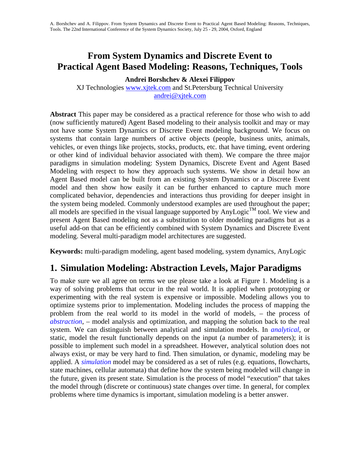# **From System Dynamics and Discrete Event to Practical Agent Based Modeling: Reasons, Techniques, Tools**

**Andrei Borshchev & Alexei Filippov** 

XJ Technologies [www.xjtek.com](http://www.xjtek.com/) and St.Petersburg Technical University [andrei@xjtek.com](mailto:andrei@xjtek.com)

**Abstract** This paper may be considered as a practical reference for those who wish to add (now sufficiently matured) Agent Based modeling to their analysis toolkit and may or may not have some System Dynamics or Discrete Event modeling background. We focus on systems that contain large numbers of active objects (people, business units, animals, vehicles, or even things like projects, stocks, products, etc. that have timing, event ordering or other kind of individual behavior associated with them). We compare the three major paradigms in simulation modeling: System Dynamics, Discrete Event and Agent Based Modeling with respect to how they approach such systems. We show in detail how an Agent Based model can be built from an existing System Dynamics or a Discrete Event model and then show how easily it can be further enhanced to capture much more complicated behavior, dependencies and interactions thus providing for deeper insight in the system being modeled. Commonly understood examples are used throughout the paper; all models are specified in the visual language supported by AnyLogic<sup>TM</sup> tool. We view and present Agent Based modeling not as a substitution to older modeling paradigms but as a useful add-on that can be efficiently combined with System Dynamics and Discrete Event modeling. Several multi-paradigm model architectures are suggested.

**Keywords:** multi-paradigm modeling, agent based modeling, system dynamics, AnyLogic

### **1. Simulation Modeling: Abstraction Levels, Major Paradigms**

To make sure we all agree on terms we use please take a look at Figure 1. Modeling is a way of solving problems that occur in the real world. It is applied when prototyping or experimenting with the real system is expensive or impossible. Modeling allows you to optimize systems prior to implementation. Modeling includes the process of mapping the problem from the real world to its model in the world of models, – the process of *abstraction*, – model analysis and optimization, and mapping the solution back to the real system. We can distinguish between analytical and simulation models. In *analytical*, or static, model the result functionally depends on the input (a number of parameters); it is possible to implement such model in a spreadsheet. However, analytical solution does not always exist, or may be very hard to find. Then simulation, or dynamic, modeling may be applied. A *simulation* model may be considered as a set of rules (e.g. equations, flowcharts, state machines, cellular automata) that define how the system being modeled will change in the future, given its present state. Simulation is the process of model "execution" that takes the model through (discrete or continuous) state changes over time. In general, for complex problems where time dynamics is important, simulation modeling is a better answer.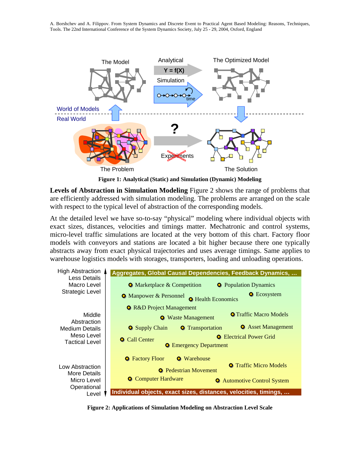

**Figure 1: Analytical (Static) and Simulation (Dynamic) Modeling** 

**Levels of Abstraction in Simulation Modeling** Figure 2 shows the range of problems that are efficiently addressed with simulation modeling. The problems are arranged on the scale with respect to the typical level of abstraction of the corresponding models.

At the detailed level we have so-to-say "physical" modeling where individual objects with exact sizes, distances, velocities and timings matter. Mechatronic and control systems, micro-level traffic simulations are located at the very bottom of this chart. Factory floor models with conveyors and stations are located a bit higher because there one typically abstracts away from exact physical trajectories and uses average timings. Same applies to warehouse logistics models with storages, transporters, loading and unloading operations.



**Figure 2: Applications of Simulation Modeling on Abstraction Level Scale**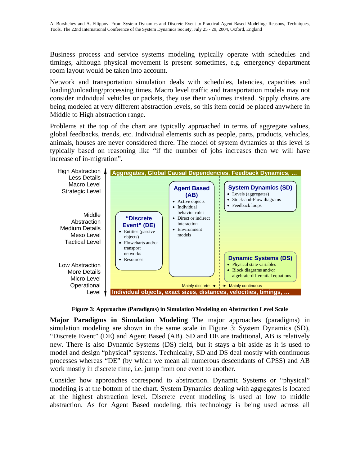Business process and service systems modeling typically operate with schedules and timings, although physical movement is present sometimes, e.g. emergency department room layout would be taken into account.

Network and transportation simulation deals with schedules, latencies, capacities and loading/unloading/processing times. Macro level traffic and transportation models may not consider individual vehicles or packets, they use their volumes instead. Supply chains are being modeled at very different abstraction levels, so this item could be placed anywhere in Middle to High abstraction range.

Problems at the top of the chart are typically approached in terms of aggregate values, global feedbacks, trends, etc. Individual elements such as people, parts, products, vehicles, animals, houses are never considered there. The model of system dynamics at this level is typically based on reasoning like "if the number of jobs increases then we will have increase of in-migration".



**Figure 3: Approaches (Paradigms) in Simulation Modeling on Abstraction Level Scale** 

**Major Paradigms in Simulation Modeling** The major approaches (paradigms) in simulation modeling are shown in the same scale in Figure 3: System Dynamics (SD), "Discrete Event" (DE) and Agent Based (AB). SD and DE are traditional, AB is relatively new. There is also Dynamic Systems (DS) field, but it stays a bit aside as it is used to model and design "physical" systems. Technically, SD and DS deal mostly with continuous processes whereas "DE" (by which we mean all numerous descendants of GPSS) and AB work mostly in discrete time, i.e. jump from one event to another.

Consider how approaches correspond to abstraction. Dynamic Systems or "physical" modeling is at the bottom of the chart. System Dynamics dealing with aggregates is located at the highest abstraction level. Discrete event modeling is used at low to middle abstraction. As for Agent Based modeling, this technology is being used across all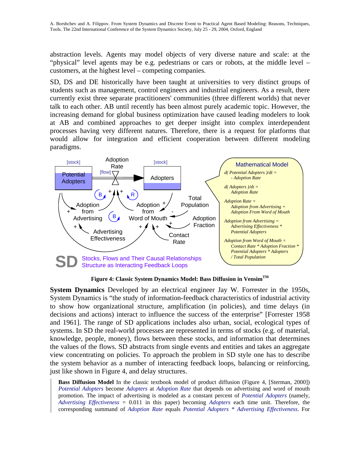abstraction levels. Agents may model objects of very diverse nature and scale: at the "physical" level agents may be e.g. pedestrians or cars or robots, at the middle level – customers, at the highest level – competing companies.

SD, DS and DE historically have been taught at universities to very distinct groups of students such as management, control engineers and industrial engineers. As a result, there currently exist three separate practitioners' communities (three different worlds) that never talk to each other. AB until recently has been almost purely academic topic. However, the increasing demand for global business optimization have caused leading modelers to look at AB and combined approaches to get deeper insight into complex interdependent processes having very different natures. Therefore, there is a request for platforms that would allow for integration and efficient cooperation between different modeling paradigms.



**Figure 4: Classic System Dynamics Model: Bass Diffusion in VensimTM** 

**System Dynamics** Developed by an electrical engineer Jay W. Forrester in the 1950s, System Dynamics is "the study of information-feedback characteristics of industrial activity to show how organizational structure, amplification (in policies), and time delays (in decisions and actions) interact to influence the success of the enterprise" [Forrester 1958 and 1961]. The range of SD applications includes also urban, social, ecological types of systems. In SD the real-world processes are represented in terms of stocks (e.g. of material, knowledge, people, money), flows between these stocks, and information that determines the values of the flows. SD abstracts from single events and entities and takes an aggregate view concentrating on policies. To approach the problem in SD style one has to describe the system behavior as a number of interacting feedback loops, balancing or reinforcing, just like shown in Figure 4, and delay structures.

**Bass Diffusion Model** In the classic textbook model of product diffusion (Figure 4, [Sterman, 2000]) *Potential Adopters* become *Adopters* at *Adoption Rate* that depends on advertising and word of mouth promotion. The impact of advertising is modeled as a constant percent of *Potential Adopters* (namely, *Advertising Effectiveness* = 0.011 in this paper) becoming *Adopters* each time unit. Therefore, the corresponding summand of *Adoption Rate* equals *Potential Adopters \* Advertising Effectiveness*. For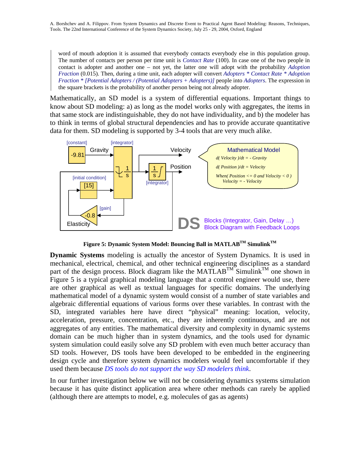word of mouth adoption it is assumed that everybody contacts everybody else in this population group. The number of contacts per person per time unit is *Contact Rate* (100). In case one of the two people in contact is adopter and another one – not yet, the latter one will adopt with the probability *Adoption Fraction* (0.015). Then, during a time unit, each adopter will convert *Adopters \* Contact Rate \* Adoption Fraction \* [Potential Adopters / (Potential Adopters + Adopters)]* people into *Adopters*. The expression in the square brackets is the probability of another person being not already adopter.

Mathematically, an SD model is a system of differential equations. Important things to know about SD modeling: a) as long as the model works only with aggregates, the items in that same stock are indistinguishable, they do not have individuality, and b) the modeler has to think in terms of global structural dependencies and has to provide accurate quantitative data for them. SD modeling is supported by 3-4 tools that are very much alike.



**Figure 5: Dynamic System Model: Bouncing Ball in MATLABTM SimulinkTM**

**Dynamic Systems** modeling is actually the ancestor of System Dynamics. It is used in mechanical, electrical, chemical, and other technical engineering disciplines as a standard part of the design process. Block diagram like the MATLAB<sup>TM</sup> Simulink<sup>TM</sup> one shown in Figure 5 is a typical graphical modeling language that a control engineer would use, there are other graphical as well as textual languages for specific domains. The underlying mathematical model of a dynamic system would consist of a number of state variables and algebraic differential equations of various forms over these variables. In contrast with the SD, integrated variables here have direct "physical" meaning: location, velocity, acceleration, pressure, concentration, etc., they are inherently continuous, and are not aggregates of any entities. The mathematical diversity and complexity in dynamic systems domain can be much higher than in system dynamics, and the tools used for dynamic system simulation could easily solve any SD problem with even much better accuracy than SD tools. However, DS tools have been developed to be embedded in the engineering design cycle and therefore system dynamics modelers would feel uncomfortable if they used them because *DS tools do not support the way SD modelers think*.

In our further investigation below we will not be considering dynamics systems simulation because it has quite distinct application area where other methods can rarely be applied (although there are attempts to model, e.g. molecules of gas as agents)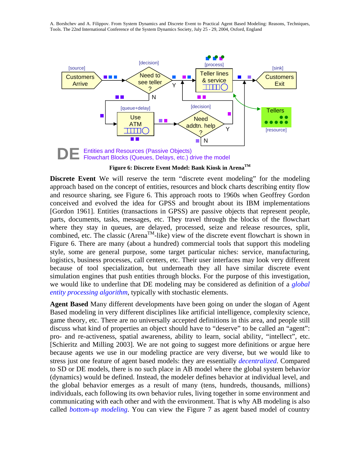

**Figure 6: Discrete Event Model: Bank Kiosk in ArenaTM**

**Discrete Event** We will reserve the term "discrete event modeling" for the modeling approach based on the concept of entities, resources and block charts describing entity flow and resource sharing, see Figure 6. This approach roots to 1960s when Geoffrey Gordon conceived and evolved the idea for GPSS and brought about its IBM implementations [Gordon 1961]. Entities (transactions in GPSS) are passive objects that represent people, parts, documents, tasks, messages, etc. They travel through the blocks of the flowchart where they stay in queues, are delayed, processed, seize and release resources, split, combined, etc. The classic (Arena<sup>TM</sup>-like) view of the discrete event flowchart is shown in Figure 6. There are many (about a hundred) commercial tools that support this modeling style, some are general purpose, some target particular niches: service, manufacturing, logistics, business processes, call centers, etc. Their user interfaces may look very different because of tool specialization, but underneath they all have similar discrete event simulation engines that push entities through blocks. For the purpose of this investigation, we would like to underline that DE modeling may be considered as definition of a *global entity processing algorithm*, typically with stochastic elements.

**Agent Based** Many different developments have been going on under the slogan of Agent Based modeling in very different disciplines like artificial intelligence, complexity science, game theory, etc. There are no universally accepted definitions in this area, and people still discuss what kind of properties an object should have to "deserve" to be called an "agent": pro- and re-activeness, spatial awareness, ability to learn, social ability, "intellect", etc. [Schieritz and Milling 2003]. We are not going to suggest more definitions or argue here because agents we use in our modeling practice are very diverse, but we would like to stress just one feature of agent based models: they are essentially *decentralized*. Compared to SD or DE models, there is no such place in AB model where the global system behavior (dynamics) would be defined. Instead, the modeler defines behavior at individual level, and the global behavior emerges as a result of many (tens, hundreds, thousands, millions) individuals, each following its own behavior rules, living together in some environment and communicating with each other and with the environment. That is why AB modeling is also called *bottom-up modeling*. You can view the Figure 7 as agent based model of country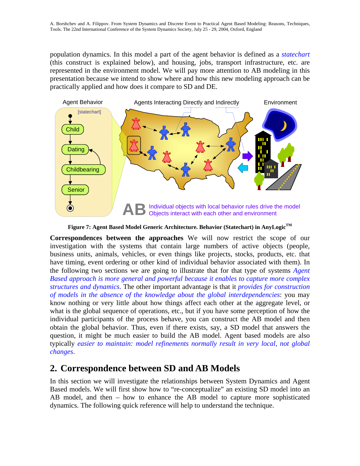population dynamics. In this model a part of the agent behavior is defined as a *statechart* (this construct is explained below), and housing, jobs, transport infrastructure, etc. are represented in the environment model. We will pay more attention to AB modeling in this presentation because we intend to show where and how this new modeling approach can be practically applied and how does it compare to SD and DE.



**Figure 7: Agent Based Model Generic Architecture. Behavior (Statechart) in AnyLogic TM**

**Correspondences between the approaches** We will now restrict the scope of our investigation with the systems that contain large numbers of active objects (people, business units, animals, vehicles, or even things like projects, stocks, products, etc. that have timing, event ordering or other kind of individual behavior associated with them). In the following two sections we are going to illustrate that for that type of systems *Agent Based approach is more general and powerful because it enables to capture more complex structures and dynamics*. The other important advantage is that it *provides for construction of models in the absence of the knowledge about the global interdependencies*: you may know nothing or very little about how things affect each other at the aggregate level, or what is the global sequence of operations, etc., but if you have some perception of how the individual participants of the process behave, you can construct the AB model and then obtain the global behavior. Thus, even if there exists, say, a SD model that answers the question, it might be much easier to build the AB model. Agent based models are also typically *easier to maintain: model refinements normally result in very local, not global changes*.

# **2. Correspondence between SD and AB Models**

In this section we will investigate the relationships between System Dynamics and Agent Based models. We will first show how to "re-conceptualize" an existing SD model into an AB model, and then – how to enhance the AB model to capture more sophisticated dynamics. The following quick reference will help to understand the technique.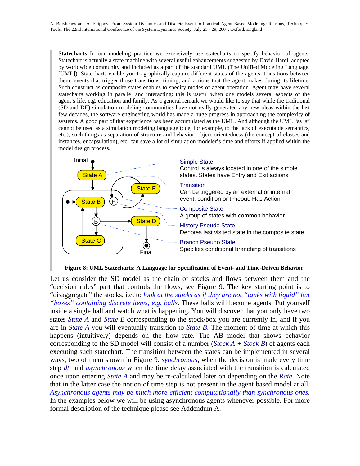**Statecharts** In our modeling practice we extensively use statecharts to specify behavior of agents. Statechart is actually a state machine with several useful enhancements suggested by David Harel, adopted by worldwide community and included as a part of the standard UML (The Unified Modeling Language, [UML]). Statecharts enable you to graphically capture different states of the agents, transitions between them, events that trigger those transitions, timing, and actions that the agent makes during its lifetime. Such construct as composite states enables to specify modes of agent operation. Agent may have several statecharts working in parallel and interacting: this is useful when one models several aspects of the agent's life, e.g. education and family. As a general remark we would like to say that while the traditional (SD and DE) simulation modeling communities have not really generated any new ideas within the last few decades, the software engineering world has made a huge progress in approaching the complexity of systems. A good part of that experience has been accumulated as the UML. And although the UML "as is" cannot be used as a simulation modeling language (due, for example, to the lack of executable semantics, etc.), such things as separation of structure and behavior, object-orientedness (the concept of classes and instances, encapsulation), etc. can save a lot of simulation modeler's time and efforts if applied within the model design process.



**Figure 8: UML Statecharts: A Language for Specification of Event- and Time-Driven Behavior** 

Let us consider the SD model as the chain of stocks and flows between them and the "decision rules" part that controls the flows, see Figure 9. The key starting point is to "disaggregate" the stocks, i.e. to *look at the stocks as if they are not "tanks with liquid" but "boxes" containing discrete items, e.g. balls*. These balls will become agents. Put yourself inside a single ball and watch what is happening. You will discover that you only have two states *State A* and *State B* corresponding to the stock/box you are currently in, and if you are in *State A* you will eventually transition to *State B*. The moment of time at which this happens (intuitively) depends on the flow rate. The AB model that shows behavior corresponding to the SD model will consist of a number (*Stock A + Stock B*) of agents each executing such statechart. The transition between the states can be implemented in several ways, two of them shown in Figure 9: *synchronous*, when the decision is made every time step *dt*, and *asynchronous* when the time delay associated with the transition is calculated once upon entering *State A* and may be re-calculated later on depending on the *Rate*. Note that in the latter case the notion of time step is not present in the agent based model at all. *Asynchronous agents may be much more efficient computationally than synchronous ones*. In the examples below we will be using asynchronous agents whenever possible. For more formal description of the technique please see Addendum A.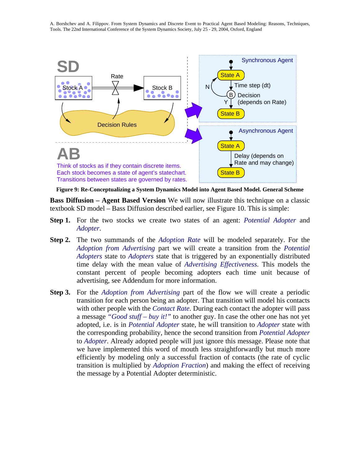

**Figure 9: Re-Conceptualizing a System Dynamics Model into Agent Based Model. General Scheme** 

**Bass Diffusion – Agent Based Version** We will now illustrate this technique on a classic textbook SD model – Bass Diffusion described earlier, see Figure 10. This is simple:

- **Step 1.** For the two stocks we create two states of an agent: *Potential Adopter* and *Adopter*.
- **Step 2.** The two summands of the *Adoption Rate* will be modeled separately. For the *Adoption from Advertising* part we will create a transition from the *Potential Adopters* state to *Adopters* state that is triggered by an exponentially distributed time delay with the mean value of *Advertising Effectiveness*. This models the constant percent of people becoming adopters each time unit because of advertising, see Addendum for more information.
- **Step 3.** For the *Adoption from Advertising* part of the flow we will create a periodic transition for each person being an adopter. That transition will model his contacts with other people with the *Contact Rate*. During each contact the adopter will pass a message *"Good stuff – buy it!"* to another guy. In case the other one has not yet adopted, i.e. is in *Potential Adopter* state, he will transition to *Adopter* state with the corresponding probability, hence the second transition from *Potential Adopter* to *Adopter*. Already adopted people will just ignore this message. Please note that we have implemented this word of mouth less straightforwardly but much more efficiently by modeling only a successful fraction of contacts (the rate of cyclic transition is multiplied by *Adoption Fraction*) and making the effect of receiving the message by a Potential Adopter deterministic.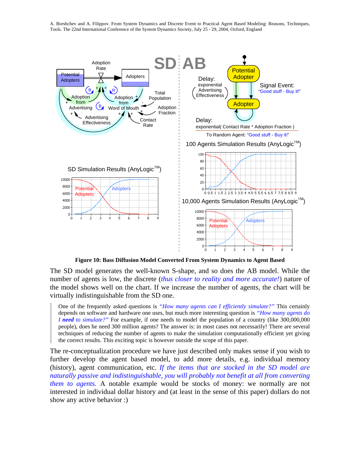

**Figure 10: Bass Diffusion Model Converted From System Dynamics to Agent Based** 

The SD model generates the well-known S-shape, and so does the AB model. While the number of agents is low, the discrete (*thus closer to reality and more accurate!*) nature of the model shows well on the chart. If we increase the number of agents, the chart will be virtually indistinguishable from the SD one.

One of the frequently asked questions is *"How many agents can I efficiently simulate?"* This certainly depends on software and hardware one uses, but much more interesting question is *"How many agents do I* need to simulate?" For example, if one needs to model the population of a country (like 300,000,000 people), does he need 300 million agents? The answer is: in most cases not necessarily! There are several techniques of reducing the number of agents to make the simulation computationally efficient yet giving the correct results. This exciting topic is however outside the scope of this paper.

The re-conceptualization procedure we have just described only makes sense if you wish to further develop the agent based model, to add more details, e.g. individual memory (history), agent communication, etc. *If the items that are stocked in the SD model are naturally passive and indistinguishable, you will probably not benefit at all from converting them to agents.* A notable example would be stocks of money: we normally are not interested in individual dollar history and (at least in the sense of this paper) dollars do not show any active behavior :)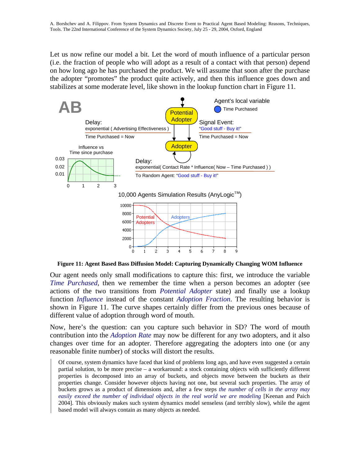Let us now refine our model a bit. Let the word of mouth influence of a particular person (i.e. the fraction of people who will adopt as a result of a contact with that person) depend on how long ago he has purchased the product. We will assume that soon after the purchase the adopter "promotes" the product quite actively, and then this influence goes down and stabilizes at some moderate level, like shown in the lookup function chart in Figure 11.



**Figure 11: Agent Based Bass Diffusion Model: Capturing Dynamically Changing WOM Influence** 

Our agent needs only small modifications to capture this: first, we introduce the variable *Time Purchased*, then we remember the time when a person becomes an adopter (see actions of the two transitions from *Potential Adopter* state) and finally use a lookup function *Influence* instead of the constant *Adoption Fraction*. The resulting behavior is shown in Figure 11. The curve shapes certainly differ from the previous ones because of different value of adoption through word of mouth.

Now, here's the question: can you capture such behavior in SD? The word of mouth contribution into the *Adoption Rate* may now be different for any two adopters, and it also changes over time for an adopter. Therefore aggregating the adopters into one (or any reasonable finite number) of stocks will distort the results.

Of course, system dynamics have faced that kind of problems long ago, and have even suggested a certain partial solution, to be more precise – a workaround: a stock containing objects with sufficiently different properties is decomposed into an array of buckets, and objects move between the buckets as their properties change. Consider however objects having not one, but several such properties. The array of buckets grows as a product of dimensions and, after a few steps *the number of cells in the array may easily exceed the number of individual objects in the real world we are modeling* [Keenan and Paich 2004]. This obviously makes such system dynamics model senseless (and terribly slow), while the agent based model will always contain as many objects as needed.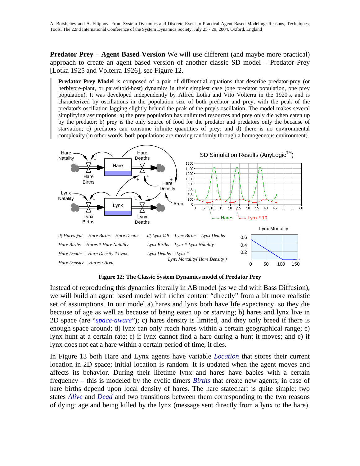**Predator Prey – Agent Based Version** We will use different (and maybe more practical) approach to create an agent based version of another classic SD model – Predator Prey [Lotka 1925 and Volterra 1926], see Figure 12.

**Predator Prey Model** is composed of a pair of differential equations that describe predator-prey (or herbivore-plant, or parasitoid-host) dynamics in their simplest case (one predator population, one prey population). It was developed independently by Alfred Lotka and Vito Volterra in the 1920's, and is characterized by oscillations in the population size of both predator and prey, with the peak of the predator's oscillation lagging slightly behind the peak of the prey's oscillation. The model makes several simplifying assumptions: a) the prey population has unlimited resources and prey only die when eaten up by the predator; b) prey is the only source of food for the predator and predators only die because of starvation; c) predators can consume infinite quantities of prey; and d) there is no environmental complexity (in other words, both populations are moving randomly through a homogeneous environment).



**Figure 12: The Classic System Dynamics model of Predator Prey** 

Instead of reproducing this dynamics literally in AB model (as we did with Bass Diffusion), we will build an agent based model with richer content "directly" from a bit more realistic set of assumptions. In our model a) hares and lynx both have life expectancy, so they die because of age as well as because of being eaten up or starving; b) hares and lynx live in 2D space (are "*space-aware*"); c) hares density is limited, and they only breed if there is enough space around; d) lynx can only reach hares within a certain geographical range; e) lynx hunt at a certain rate; f) if lynx cannot find a hare during a hunt it moves; and e) if lynx does not eat a hare within a certain period of time, it dies.

In Figure 13 both Hare and Lynx agents have variable *Location* that stores their current location in 2D space; initial location is random. It is updated when the agent moves and affects its behavior. During their lifetime lynx and hares have babies with a certain frequency – this is modeled by the cyclic timers *Births* that create new agents; in case of hare births depend upon local density of hares. The hare statechart is quite simple: two states *Alive* and *Dead* and two transitions between them corresponding to the two reasons of dying: age and being killed by the lynx (message sent directly from a lynx to the hare).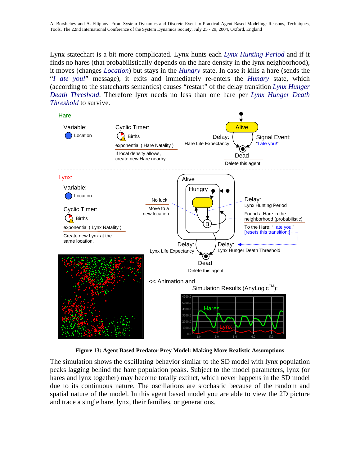Lynx statechart is a bit more complicated. Lynx hunts each *Lynx Hunting Period* and if it finds no hares (that probabilistically depends on the hare density in the lynx neighborhood), it moves (changes *Location*) but stays in the *Hungry* state. In case it kills a hare (sends the "*I ate you!*" message), it exits and immediately re-enters the *Hungry* state, which (according to the statecharts semantics) causes "restart" of the delay transition *Lynx Hunger Death Threshold*. Therefore lynx needs no less than one hare per *Lynx Hunger Death Threshold* to survive.



**Figure 13: Agent Based Predator Prey Model: Making More Realistic Assumptions** 

The simulation shows the oscillating behavior similar to the SD model with lynx population peaks lagging behind the hare population peaks. Subject to the model parameters, lynx (or hares and lynx together) may become totally extinct, which never happens in the SD model due to its continuous nature. The oscillations are stochastic because of the random and spatial nature of the model. In this agent based model you are able to view the 2D picture and trace a single hare, lynx, their families, or generations.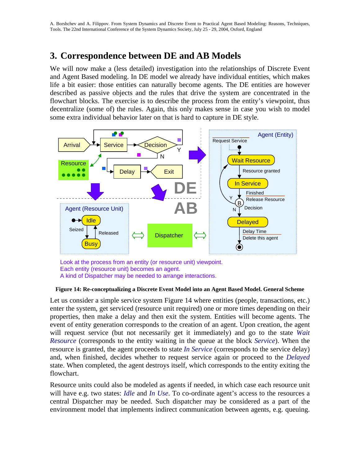# **3. Correspondence between DE and AB Models**

We will now make a (less detailed) investigation into the relationships of Discrete Event and Agent Based modeling. In DE model we already have individual entities, which makes life a bit easier: those entities can naturally become agents. The DE entities are however described as passive objects and the rules that drive the system are concentrated in the flowchart blocks. The exercise is to describe the process from the entity's viewpoint, thus decentralize (some of) the rules. Again, this only makes sense in case you wish to model some extra individual behavior later on that is hard to capture in DE style.



Look at the process from an entity (or resource unit) viewpoint. Each entity (resource unit) becomes an agent. A kind of Dispatcher may be needed to arrange interactions.

#### **Figure 14: Re-conceptualizing a Discrete Event Model into an Agent Based Model. General Scheme**

Let us consider a simple service system Figure 14 where entities (people, transactions, etc.) enter the system, get serviced (resource unit required) one or more times depending on their properties, then make a delay and then exit the system. Entities will become agents. The event of entity generation corresponds to the creation of an agent. Upon creation, the agent will request service (but not necessarily get it immediately) and go to the state *Wait Resource* (corresponds to the entity waiting in the queue at the block *Service*). When the resource is granted, the agent proceeds to state *In Service* (corresponds to the service delay) and, when finished, decides whether to request service again or proceed to the *Delayed* state. When completed, the agent destroys itself, which corresponds to the entity exiting the flowchart.

Resource units could also be modeled as agents if needed, in which case each resource unit will have e.g. two states: *Idle* and *In Use*. To co-ordinate agent's access to the resources a central Dispatcher may be needed. Such dispatcher may be considered as a part of the environment model that implements indirect communication between agents, e.g. queuing.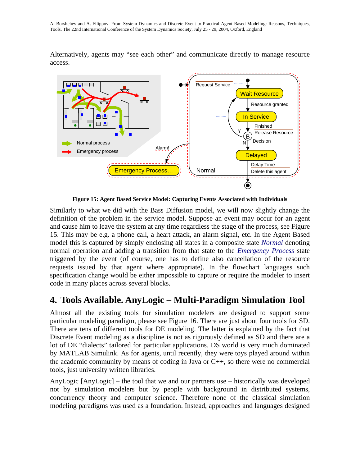Alternatively, agents may "see each other" and communicate directly to manage resource access.



**Figure 15: Agent Based Service Model: Capturing Events Associated with Individuals** 

Similarly to what we did with the Bass Diffusion model, we will now slightly change the definition of the problem in the service model. Suppose an event may occur for an agent and cause him to leave the system at any time regardless the stage of the process, see Figure 15. This may be e.g. a phone call, a heart attack, an alarm signal, etc. In the Agent Based model this is captured by simply enclosing all states in a composite state *Normal* denoting normal operation and adding a transition from that state to the *Emergency Process* state triggered by the event (of course, one has to define also cancellation of the resource requests issued by that agent where appropriate). In the flowchart languages such specification change would be either impossible to capture or require the modeler to insert code in many places across several blocks.

# **4. Tools Available. AnyLogic – Multi-Paradigm Simulation Tool**

Almost all the existing tools for simulation modelers are designed to support some particular modeling paradigm, please see Figure 16. There are just about four tools for SD. There are tens of different tools for DE modeling. The latter is explained by the fact that Discrete Event modeling as a discipline is not as rigorously defined as SD and there are a lot of DE "dialects" tailored for particular applications. DS world is very much dominated by MATLAB Simulink. As for agents, until recently, they were toys played around within the academic community by means of coding in Java or C++, so there were no commercial tools, just university written libraries.

AnyLogic [AnyLogic] – the tool that we and our partners use – historically was developed not by simulation modelers but by people with background in distributed systems, concurrency theory and computer science. Therefore none of the classical simulation modeling paradigms was used as a foundation. Instead, approaches and languages designed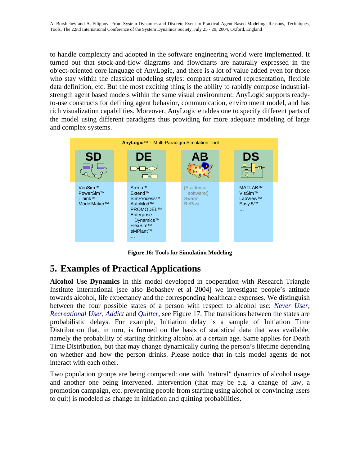to handle complexity and adopted in the software engineering world were implemented. It turned out that stock-and-flow diagrams and flowcharts are naturally expressed in the object-oriented core language of AnyLogic, and there is a lot of value added even for those who stay within the classical modeling styles: compact structured representation, flexible data definition, etc. But the most exciting thing is the ability to rapidly compose industrialstrength agent based models within the same visual environment. AnyLogic supports readyto-use constructs for defining agent behavior, communication, environment model, and has rich visualization capabilities. Moreover, AnyLogic enables one to specify different parts of the model using different paradigms thus providing for more adequate modeling of large and complex systems.



**Figure 16: Tools for Simulation Modeling** 

# **5. Examples of Practical Applications**

**Alcohol Use Dynamics** In this model developed in cooperation with Research Triangle Institute International [see also Bobashev et al 2004] we investigate people's attitude towards alcohol, life expectancy and the corresponding healthcare expenses. We distinguish between the four possible states of a person with respect to alcohol use: *Never User*, *Recreational User*, *Addict* and *Quitter*, see Figure 17. The transitions between the states are probabilistic delays. For example, Initiation delay is a sample of Initiation Time Distribution that, in turn, is formed on the basis of statistical data that was available, namely the probability of starting drinking alcohol at a certain age. Same applies for Death Time Distribution, but that may change dynamically during the person's lifetime depending on whether and how the person drinks. Please notice that in this model agents do not interact with each other.

Two population groups are being compared: one with "natural" dynamics of alcohol usage and another one being intervened. Intervention (that may be e.g. a change of law, a promotion campaign, etc. preventing people from starting using alcohol or convincing users to quit) is modeled as change in initiation and quitting probabilities.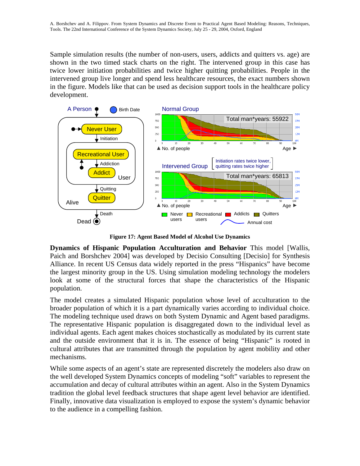Sample simulation results (the number of non-users, users, addicts and quitters vs. age) are shown in the two timed stack charts on the right. The intervened group in this case has twice lower initiation probabilities and twice higher quitting probabilities. People in the intervened group live longer and spend less healthcare resources, the exact numbers shown in the figure. Models like that can be used as decision support tools in the healthcare policy development.



**Figure 17: Agent Based Model of Alcohol Use Dynamics** 

**Dynamics of Hispanic Population Acculturation and Behavior** This model [Wallis, Paich and Borshchev 2004] was developed by Decisio Consulting [Decisio] for Synthesis Alliance. In recent US Census data widely reported in the press "Hispanics" have become the largest minority group in the US. Using simulation modeling technology the modelers look at some of the structural forces that shape the characteristics of the Hispanic population.

The model creates a simulated Hispanic population whose level of acculturation to the broader population of which it is a part dynamically varies according to individual choice. The modeling technique used draws on both System Dynamic and Agent based paradigms. The representative Hispanic population is disaggregated down to the individual level as individual agents. Each agent makes choices stochastically as modulated by its current state and the outside environment that it is in. The essence of being "Hispanic" is rooted in cultural attributes that are transmitted through the population by agent mobility and other mechanisms.

While some aspects of an agent's state are represented discretely the modelers also draw on the well developed System Dynamics concepts of modeling "soft" variables to represent the accumulation and decay of cultural attributes within an agent. Also in the System Dynamics tradition the global level feedback structures that shape agent level behavior are identified. Finally, innovative data visualization is employed to expose the system's dynamic behavior to the audience in a compelling fashion.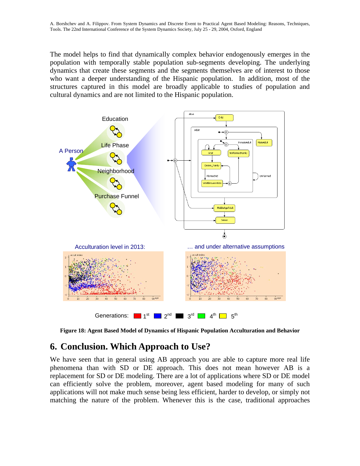The model helps to find that dynamically complex behavior endogenously emerges in the population with temporally stable population sub-segments developing. The underlying dynamics that create these segments and the segments themselves are of interest to those who want a deeper understanding of the Hispanic population. In addition, most of the structures captured in this model are broadly applicable to studies of population and cultural dynamics and are not limited to the Hispanic population.



**Figure 18: Agent Based Model of Dynamics of Hispanic Population Acculturation and Behavior** 

# **6. Conclusion. Which Approach to Use?**

We have seen that in general using AB approach you are able to capture more real life phenomena than with SD or DE approach. This does not mean however AB is a replacement for SD or DE modeling. There are a lot of applications where SD or DE model can efficiently solve the problem, moreover, agent based modeling for many of such applications will not make much sense being less efficient, harder to develop, or simply not matching the nature of the problem. Whenever this is the case, traditional approaches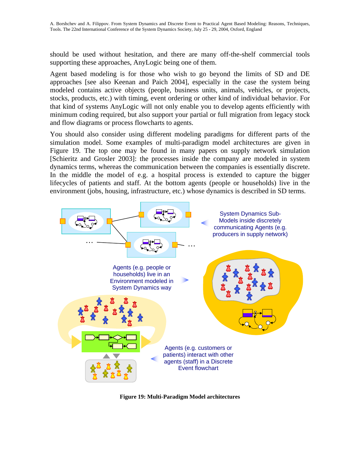should be used without hesitation, and there are many off-the-shelf commercial tools supporting these approaches, AnyLogic being one of them.

Agent based modeling is for those who wish to go beyond the limits of SD and DE approaches [see also Keenan and Paich 2004], especially in the case the system being modeled contains active objects (people, business units, animals, vehicles, or projects, stocks, products, etc.) with timing, event ordering or other kind of individual behavior. For that kind of systems AnyLogic will not only enable you to develop agents efficiently with minimum coding required, but also support your partial or full migration from legacy stock and flow diagrams or process flowcharts to agents.

You should also consider using different modeling paradigms for different parts of the simulation model. Some examples of multi-paradigm model architectures are given in Figure 19. The top one may be found in many papers on supply network simulation [Schieritz and Grosler 2003]: the processes inside the company are modeled in system dynamics terms, whereas the communication between the companies is essentially discrete. In the middle the model of e.g. a hospital process is extended to capture the bigger lifecycles of patients and staff. At the bottom agents (people or households) live in the environment (jobs, housing, infrastructure, etc.) whose dynamics is described in SD terms.



**Figure 19: Multi-Paradigm Model architectures**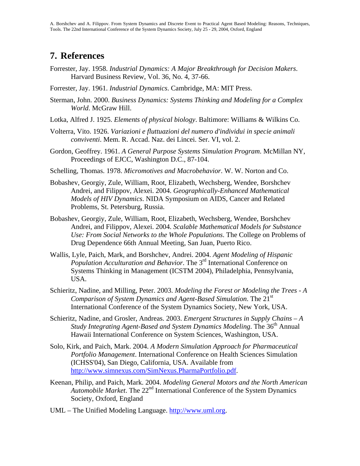### **7. References**

- Forrester, Jay. 1958. *Industrial Dynamics: A Major Breakthrough for Decision Makers*. Harvard Business Review, Vol. 36, No. 4, 37-66.
- Forrester, Jay. 1961. *Industrial Dynamics*. Cambridge, MA: MIT Press.
- Sterman, John. 2000. *Business Dynamics: Systems Thinking and Modeling for a Complex World*. McGraw Hill.
- Lotka, Alfred J. 1925. *Elements of physical biology*. Baltimore: Williams & Wilkins Co.
- Volterra, Vito. 1926. *Variazioni e fluttuazioni del numero d'individui in specie animali conviventi*. Mem. R. Accad. Naz. dei Lincei. Ser. VI, vol. 2.
- Gordon, Geoffrey. 1961. *A General Purpose Systems Simulation Program*. McMillan NY, Proceedings of EJCC, Washington D.C., 87-104.
- Schelling, Thomas. 1978. *Micromotives and Macrobehavior*. W. W. Norton and Co.
- Bobashev, Georgiy, Zule, William, Root, Elizabeth, Wechsberg, Wendee, Borshchev Andrei, and Filippov, Alexei. 2004. *Geographically-Enhanced Mathematical Models of HIV Dynamics*. NIDA Symposium on AIDS, Cancer and Related Problems, St. Petersburg, Russia.
- Bobashev, Georgiy, Zule, William, Root, Elizabeth, Wechsberg, Wendee, Borshchev Andrei, and Filippov, Alexei. 2004. *Scalable Mathematical Models for Substance Use: From Social Networks to the Whole Populations*. The College on Problems of Drug Dependence 66th Annual Meeting, San Juan, Puerto Rico.
- Wallis, Lyle, Paich, Mark, and Borshchev, Andrei. 2004. *Agent Modeling of Hispanic Population Acculturation and Behavior*. The 3<sup>rd</sup> International Conference on Systems Thinking in Management (ICSTM 2004), Philadelphia, Pennsylvania, USA.
- Schieritz, Nadine, and Milling, Peter. 2003. *Modeling the Forest or Modeling the Trees A Comparison of System Dynamics and Agent-Based Simulation*. The 21st International Conference of the System Dynamics Society, New York, USA.
- Schieritz, Nadine, and Grosler, Andreas. 2003. *Emergent Structures in Supply Chains A Study Integrating Agent-Based and System Dynamics Modeling. The 36<sup>th</sup> Annual* Hawaii International Conference on System Sciences, Washington, USA.
- Solo, Kirk, and Paich, Mark. 2004. *A Modern Simulation Approach for Pharmaceutical Portfolio Management*. International Conference on Health Sciences Simulation (ICHSS'04), San Diego, California, USA. Available from [http://www.simnexus.com/SimNexus.PharmaPortfolio.pdf.](http://www.simnexus.com/SimNexus.PharmaPortfolio.pdf)
- Keenan, Philip, and Paich, Mark. 2004. *Modeling General Motors and the North American Automobile Market*. The 22nd International Conference of the System Dynamics Society, Oxford, England
- UML The Unified Modeling Language. [http://www.uml.org](http://www.uml.org/).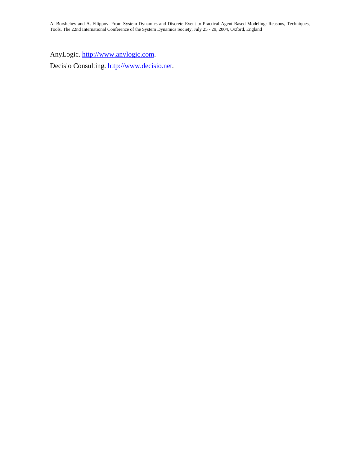AnyLogic. [http://www.anylogic.com](http://www.anylogic.com/).

Decisio Consulting. [http://www.decisio.net.](http://www.decisio.net/)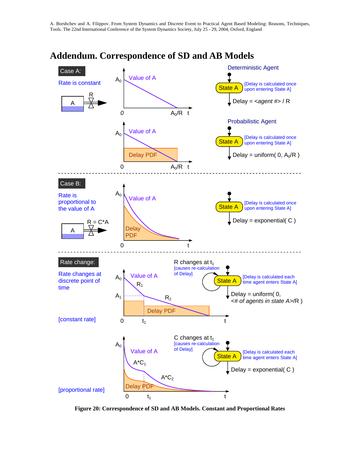

#### **Addendum. Correspondence of SD and AB Models**

**Figure 20: Correspondence of SD and AB Models. Constant and Proportional Rates**